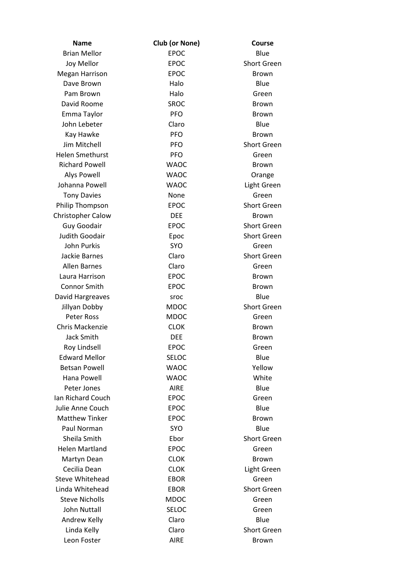| <b>Name</b>              | Club (or None) | <b>Course</b>      |
|--------------------------|----------------|--------------------|
| <b>Brian Mellor</b>      | <b>EPOC</b>    | Blue               |
| Joy Mellor               | <b>EPOC</b>    | <b>Short Green</b> |
| <b>Megan Harrison</b>    | <b>EPOC</b>    | <b>Brown</b>       |
| Dave Brown               | Halo           | Blue               |
| Pam Brown                | Halo           | Green              |
| David Roome              | <b>SROC</b>    | <b>Brown</b>       |
| Emma Taylor              | <b>PFO</b>     | <b>Brown</b>       |
| John Lebeter             | Claro          | Blue               |
| Kay Hawke                | <b>PFO</b>     | Brown              |
| Jim Mitchell             | <b>PFO</b>     | <b>Short Green</b> |
| <b>Helen Smethurst</b>   | <b>PFO</b>     | Green              |
| <b>Richard Powell</b>    | <b>WAOC</b>    | Brown              |
| <b>Alys Powell</b>       | <b>WAOC</b>    | Orange             |
| Johanna Powell           | <b>WAOC</b>    | Light Green        |
| <b>Tony Davies</b>       | None           | Green              |
| Philip Thompson          | <b>EPOC</b>    | <b>Short Green</b> |
| <b>Christopher Calow</b> | <b>DEE</b>     | <b>Brown</b>       |
| Guy Goodair              | <b>EPOC</b>    | <b>Short Green</b> |
| Judith Goodair           | Epoc           | <b>Short Green</b> |
| John Purkis              | <b>SYO</b>     | Green              |
| Jackie Barnes            | Claro          | <b>Short Green</b> |
| <b>Allen Barnes</b>      | Claro          | Green              |
| Laura Harrison           | <b>EPOC</b>    | Brown              |
| <b>Connor Smith</b>      | <b>EPOC</b>    | <b>Brown</b>       |
| David Hargreaves         | sroc           | Blue               |
| Jillyan Dobby            | <b>MDOC</b>    | <b>Short Green</b> |
| <b>Peter Ross</b>        | <b>MDOC</b>    | Green              |
| Chris Mackenzie          | <b>CLOK</b>    | <b>Brown</b>       |
| <b>Jack Smith</b>        | <b>DEE</b>     | <b>Brown</b>       |
| Roy Lindsell             | EPOC           | Green              |
| <b>Edward Mellor</b>     | <b>SELOC</b>   | Blue               |
| <b>Betsan Powell</b>     | <b>WAOC</b>    | Yellow             |
| Hana Powell              | <b>WAOC</b>    | White              |
| Peter Jones              | <b>AIRE</b>    | Blue               |
| Ian Richard Couch        | <b>EPOC</b>    | Green              |
| Julie Anne Couch         | <b>EPOC</b>    | Blue               |
| <b>Matthew Tinker</b>    | <b>EPOC</b>    | <b>Brown</b>       |
| Paul Norman              | <b>SYO</b>     | Blue               |
| Sheila Smith             | Ebor           | <b>Short Green</b> |
| <b>Helen Martland</b>    | EPOC           | Green              |
| Martyn Dean              | <b>CLOK</b>    | <b>Brown</b>       |
| Cecilia Dean             | <b>CLOK</b>    | Light Green        |
| Steve Whitehead          | <b>EBOR</b>    | Green              |
| Linda Whitehead          | <b>EBOR</b>    | <b>Short Green</b> |
| <b>Steve Nicholls</b>    | <b>MDOC</b>    | Green              |
| John Nuttall             | <b>SELOC</b>   | Green              |
| Andrew Kelly             | Claro          | Blue               |
| Linda Kelly              | Claro          | <b>Short Green</b> |
| Leon Foster              | <b>AIRE</b>    | <b>Brown</b>       |
|                          |                |                    |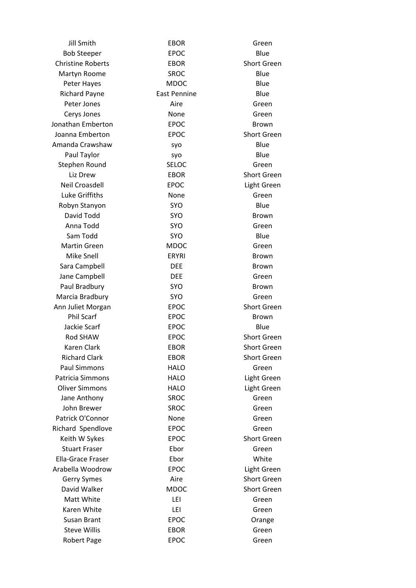| <b>Jill Smith</b>        | <b>EBOR</b>         | Green              |
|--------------------------|---------------------|--------------------|
| <b>Bob Steeper</b>       | <b>EPOC</b>         | Blue               |
| <b>Christine Roberts</b> | <b>EBOR</b>         | <b>Short Green</b> |
| Martyn Roome             | <b>SROC</b>         | Blue               |
| Peter Hayes              | <b>MDOC</b>         | Blue               |
| <b>Richard Payne</b>     | <b>East Pennine</b> | Blue               |
| Peter Jones              | Aire                | Green              |
| Cerys Jones              | None                | Green              |
| Jonathan Emberton        | <b>EPOC</b>         | Brown              |
| Joanna Emberton          | <b>EPOC</b>         | <b>Short Green</b> |
| Amanda Crawshaw          | syo                 | Blue               |
| Paul Taylor              | syo                 | Blue               |
| Stephen Round            | <b>SELOC</b>        | Green              |
| Liz Drew                 | <b>EBOR</b>         | <b>Short Green</b> |
| <b>Neil Croasdell</b>    | <b>EPOC</b>         | Light Green        |
| Luke Griffiths           | None                | Green              |
| Robyn Stanyon            | <b>SYO</b>          | Blue               |
| David Todd               | <b>SYO</b>          | <b>Brown</b>       |
| Anna Todd                | <b>SYO</b>          | Green              |
| Sam Todd                 | <b>SYO</b>          | Blue               |
| <b>Martin Green</b>      | <b>MDOC</b>         | Green              |
| Mike Snell               | <b>ERYRI</b>        | <b>Brown</b>       |
| Sara Campbell            | <b>DEE</b>          | <b>Brown</b>       |
| Jane Campbell            | <b>DEE</b>          | Green              |
| Paul Bradbury            | <b>SYO</b>          | Brown              |
| Marcia Bradbury          | <b>SYO</b>          | Green              |
| Ann Juliet Morgan        | <b>EPOC</b>         | <b>Short Green</b> |
| <b>Phil Scarf</b>        | <b>EPOC</b>         | <b>Brown</b>       |
| Jackie Scarf             | <b>EPOC</b>         | Blue               |
| <b>Rod SHAW</b>          | <b>EPOC</b>         | <b>Short Green</b> |
| Karen Clark              | <b>EBOR</b>         | <b>Short Green</b> |
| <b>Richard Clark</b>     | <b>EBOR</b>         | <b>Short Green</b> |
| <b>Paul Simmons</b>      | <b>HALO</b>         | Green              |
| <b>Patricia Simmons</b>  | <b>HALO</b>         | Light Green        |
| <b>Oliver Simmons</b>    | <b>HALO</b>         | Light Green        |
| Jane Anthony             | <b>SROC</b>         | Green              |
| John Brewer              | <b>SROC</b>         | Green              |
| Patrick O'Connor         | None                | Green              |
| Richard Spendlove        | <b>EPOC</b>         | Green              |
| Keith W Sykes            | <b>EPOC</b>         | <b>Short Green</b> |
| <b>Stuart Fraser</b>     | Ebor                | Green              |
| Ella-Grace Fraser        | Ebor                | White              |
| Arabella Woodrow         | <b>EPOC</b>         | Light Green        |
| Gerry Symes              | Aire                | Short Green        |
| David Walker             | <b>MDOC</b>         | <b>Short Green</b> |
| Matt White               | LEI                 | Green              |
| Karen White              | LEI                 | Green              |
| Susan Brant              | <b>EPOC</b>         | Orange             |
| <b>Steve Willis</b>      | <b>EBOR</b>         | Green              |
| <b>Robert Page</b>       | <b>EPOC</b>         | Green              |
|                          |                     |                    |